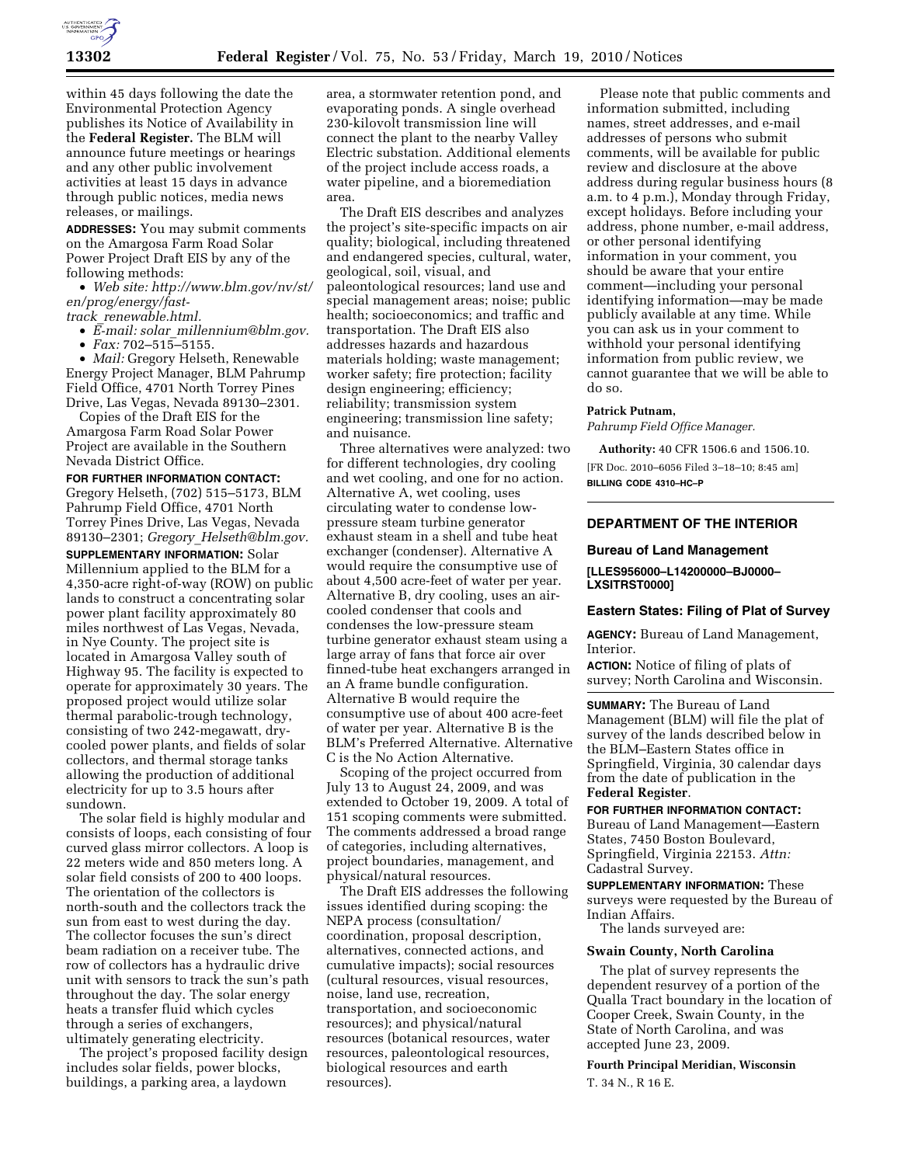

within 45 days following the date the Environmental Protection Agency publishes its Notice of Availability in the **Federal Register.** The BLM will announce future meetings or hearings and any other public involvement activities at least 15 days in advance through public notices, media news releases, or mailings.

**ADDRESSES:** You may submit comments on the Amargosa Farm Road Solar Power Project Draft EIS by any of the following methods:

• *Web site: http://www.blm.gov/nv/st/ en/prog/energy/fast-*

*track*\_*renewable.html.* 

• *E-mail: solar*\_*millennium@blm.gov.* 

• *Fax:* 702–515–5155.

• *Mail:* Gregory Helseth, Renewable Energy Project Manager, BLM Pahrump Field Office, 4701 North Torrey Pines Drive, Las Vegas, Nevada 89130–2301.

Copies of the Draft EIS for the Amargosa Farm Road Solar Power Project are available in the Southern Nevada District Office.

**FOR FURTHER INFORMATION CONTACT:**  Gregory Helseth, (702) 515–5173, BLM Pahrump Field Office, 4701 North Torrey Pines Drive, Las Vegas, Nevada 89130–2301; *Gregory*\_*Helseth@blm.gov.* 

**SUPPLEMENTARY INFORMATION:** Solar Millennium applied to the BLM for a 4,350-acre right-of-way (ROW) on public lands to construct a concentrating solar power plant facility approximately 80 miles northwest of Las Vegas, Nevada, in Nye County. The project site is located in Amargosa Valley south of Highway 95. The facility is expected to operate for approximately 30 years. The proposed project would utilize solar thermal parabolic-trough technology, consisting of two 242-megawatt, drycooled power plants, and fields of solar collectors, and thermal storage tanks allowing the production of additional electricity for up to 3.5 hours after sundown.

The solar field is highly modular and consists of loops, each consisting of four curved glass mirror collectors. A loop is 22 meters wide and 850 meters long. A solar field consists of 200 to 400 loops. The orientation of the collectors is north-south and the collectors track the sun from east to west during the day. The collector focuses the sun's direct beam radiation on a receiver tube. The row of collectors has a hydraulic drive unit with sensors to track the sun's path throughout the day. The solar energy heats a transfer fluid which cycles through a series of exchangers, ultimately generating electricity.

The project's proposed facility design includes solar fields, power blocks, buildings, a parking area, a laydown

area, a stormwater retention pond, and evaporating ponds. A single overhead 230-kilovolt transmission line will connect the plant to the nearby Valley Electric substation. Additional elements of the project include access roads, a water pipeline, and a bioremediation area.

The Draft EIS describes and analyzes the project's site-specific impacts on air quality; biological, including threatened and endangered species, cultural, water, geological, soil, visual, and paleontological resources; land use and special management areas; noise; public health; socioeconomics; and traffic and transportation. The Draft EIS also addresses hazards and hazardous materials holding; waste management; worker safety; fire protection; facility design engineering; efficiency; reliability; transmission system engineering; transmission line safety; and nuisance.

Three alternatives were analyzed: two for different technologies, dry cooling and wet cooling, and one for no action. Alternative A, wet cooling, uses circulating water to condense lowpressure steam turbine generator exhaust steam in a shell and tube heat exchanger (condenser). Alternative A would require the consumptive use of about 4,500 acre-feet of water per year. Alternative B, dry cooling, uses an aircooled condenser that cools and condenses the low-pressure steam turbine generator exhaust steam using a large array of fans that force air over finned-tube heat exchangers arranged in an A frame bundle configuration. Alternative B would require the consumptive use of about 400 acre-feet of water per year. Alternative B is the BLM's Preferred Alternative. Alternative C is the No Action Alternative.

Scoping of the project occurred from July 13 to August 24, 2009, and was extended to October 19, 2009. A total of 151 scoping comments were submitted. The comments addressed a broad range of categories, including alternatives, project boundaries, management, and physical/natural resources.

The Draft EIS addresses the following issues identified during scoping: the NEPA process (consultation/ coordination, proposal description, alternatives, connected actions, and cumulative impacts); social resources (cultural resources, visual resources, noise, land use, recreation, transportation, and socioeconomic resources); and physical/natural resources (botanical resources, water resources, paleontological resources, biological resources and earth resources).

Please note that public comments and information submitted, including names, street addresses, and e-mail addresses of persons who submit comments, will be available for public review and disclosure at the above address during regular business hours (8 a.m. to 4 p.m.), Monday through Friday, except holidays. Before including your address, phone number, e-mail address, or other personal identifying information in your comment, you should be aware that your entire comment—including your personal identifying information—may be made publicly available at any time. While you can ask us in your comment to withhold your personal identifying information from public review, we cannot guarantee that we will be able to do so.

# **Patrick Putnam,**

*Pahrump Field Office Manager.* 

**Authority:** 40 CFR 1506.6 and 1506.10. [FR Doc. 2010–6056 Filed 3–18–10; 8:45 am] **BILLING CODE 4310–HC–P** 

# **DEPARTMENT OF THE INTERIOR**

### **Bureau of Land Management**

**[LLES956000–L14200000–BJ0000– LXSITRST0000]** 

### **Eastern States: Filing of Plat of Survey**

**AGENCY:** Bureau of Land Management, Interior.

**ACTION:** Notice of filing of plats of survey; North Carolina and Wisconsin.

**SUMMARY:** The Bureau of Land Management (BLM) will file the plat of survey of the lands described below in the BLM–Eastern States office in Springfield, Virginia, 30 calendar days from the date of publication in the **Federal Register**.

**FOR FURTHER INFORMATION CONTACT:**  Bureau of Land Management—Eastern States, 7450 Boston Boulevard, Springfield, Virginia 22153. *Attn:*  Cadastral Survey.

**SUPPLEMENTARY INFORMATION:** These surveys were requested by the Bureau of Indian Affairs.

The lands surveyed are:

#### **Swain County, North Carolina**

The plat of survey represents the dependent resurvey of a portion of the Qualla Tract boundary in the location of Cooper Creek, Swain County, in the State of North Carolina, and was accepted June 23, 2009.

**Fourth Principal Meridian, Wisconsin**  T. 34 N., R 16 E.